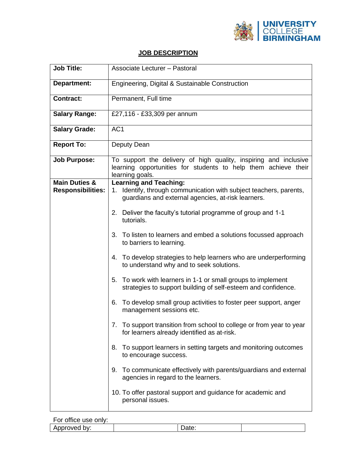

## **JOB DESCRIPTION**

| <b>Job Title:</b>                                    | <b>Associate Lecturer - Pastoral</b>                                                                                                                                                                                                                                                                                                                                                                                                                                                                                                                                                                                                                                                                                                                                                                                                                                                                                                                                                                                                     |  |  |
|------------------------------------------------------|------------------------------------------------------------------------------------------------------------------------------------------------------------------------------------------------------------------------------------------------------------------------------------------------------------------------------------------------------------------------------------------------------------------------------------------------------------------------------------------------------------------------------------------------------------------------------------------------------------------------------------------------------------------------------------------------------------------------------------------------------------------------------------------------------------------------------------------------------------------------------------------------------------------------------------------------------------------------------------------------------------------------------------------|--|--|
| <b>Department:</b>                                   | Engineering, Digital & Sustainable Construction                                                                                                                                                                                                                                                                                                                                                                                                                                                                                                                                                                                                                                                                                                                                                                                                                                                                                                                                                                                          |  |  |
| <b>Contract:</b>                                     | Permanent, Full time                                                                                                                                                                                                                                                                                                                                                                                                                                                                                                                                                                                                                                                                                                                                                                                                                                                                                                                                                                                                                     |  |  |
| <b>Salary Range:</b>                                 | £27,116 - £33,309 per annum                                                                                                                                                                                                                                                                                                                                                                                                                                                                                                                                                                                                                                                                                                                                                                                                                                                                                                                                                                                                              |  |  |
| <b>Salary Grade:</b>                                 | AC <sub>1</sub>                                                                                                                                                                                                                                                                                                                                                                                                                                                                                                                                                                                                                                                                                                                                                                                                                                                                                                                                                                                                                          |  |  |
| <b>Report To:</b>                                    | Deputy Dean                                                                                                                                                                                                                                                                                                                                                                                                                                                                                                                                                                                                                                                                                                                                                                                                                                                                                                                                                                                                                              |  |  |
| <b>Job Purpose:</b>                                  | To support the delivery of high quality, inspiring and inclusive<br>learning opportunities for students to help them achieve their<br>learning goals.                                                                                                                                                                                                                                                                                                                                                                                                                                                                                                                                                                                                                                                                                                                                                                                                                                                                                    |  |  |
| <b>Main Duties &amp;</b><br><b>Responsibilities:</b> | <b>Learning and Teaching:</b><br>1. Identify, through communication with subject teachers, parents,<br>guardians and external agencies, at-risk learners.<br>2. Deliver the faculty's tutorial programme of group and 1-1<br>tutorials.<br>3. To listen to learners and embed a solutions focussed approach<br>to barriers to learning.<br>4. To develop strategies to help learners who are underperforming<br>to understand why and to seek solutions.<br>5. To work with learners in 1-1 or small groups to implement<br>strategies to support building of self-esteem and confidence.<br>To develop small group activities to foster peer support, anger<br>6.<br>management sessions etc.<br>To support transition from school to college or from year to year<br>7.<br>for learners already identified as at-risk.<br>To support learners in setting targets and monitoring outcomes<br>8.<br>to encourage success.<br>To communicate effectively with parents/guardians and external<br>9.<br>agencies in regard to the learners. |  |  |
|                                                      | 10. To offer pastoral support and guidance for academic and<br>personal issues.                                                                                                                                                                                                                                                                                                                                                                                                                                                                                                                                                                                                                                                                                                                                                                                                                                                                                                                                                          |  |  |

| For office use only: |       |  |
|----------------------|-------|--|
| Approved by:         | Date: |  |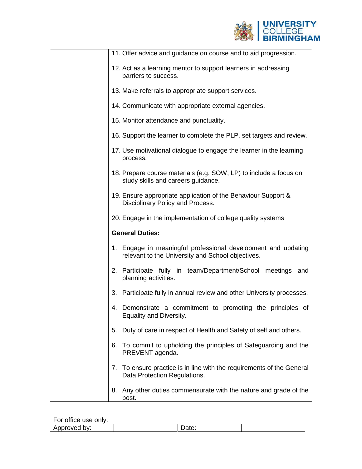

| 11. Offer advice and guidance on course and to aid progression.                                                    |
|--------------------------------------------------------------------------------------------------------------------|
| 12. Act as a learning mentor to support learners in addressing<br>barriers to success.                             |
| 13. Make referrals to appropriate support services.                                                                |
| 14. Communicate with appropriate external agencies.                                                                |
| 15. Monitor attendance and punctuality.                                                                            |
| 16. Support the learner to complete the PLP, set targets and review.                                               |
| 17. Use motivational dialogue to engage the learner in the learning<br>process.                                    |
| 18. Prepare course materials (e.g. SOW, LP) to include a focus on<br>study skills and careers guidance.            |
| 19. Ensure appropriate application of the Behaviour Support &<br>Disciplinary Policy and Process.                  |
| 20. Engage in the implementation of college quality systems                                                        |
| <b>General Duties:</b>                                                                                             |
| 1. Engage in meaningful professional development and updating<br>relevant to the University and School objectives. |
|                                                                                                                    |
| 2. Participate fully in team/Department/School meetings and<br>planning activities.                                |
| 3. Participate fully in annual review and other University processes.                                              |
| 4. Demonstrate a commitment to promoting the principles of<br>Equality and Diversity.                              |
| Duty of care in respect of Health and Safety of self and others.<br>5.                                             |
| 6.<br>To commit to upholding the principles of Safeguarding and the<br>PREVENT agenda.                             |
| To ensure practice is in line with the requirements of the General<br>7.<br>Data Protection Regulations.           |

For office use only:

| .                   |     |  |
|---------------------|-----|--|
| .<br>JV.<br>-<br>אי | ww. |  |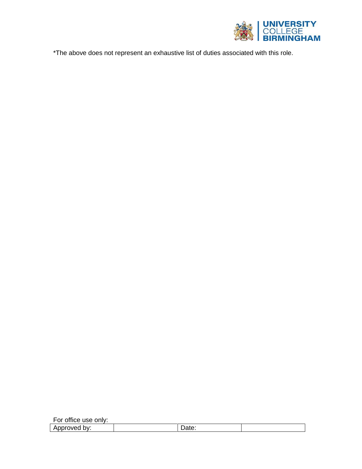

\*The above does not represent an exhaustive list of duties associated with this role.

| For office use only: |       |  |
|----------------------|-------|--|
| Approved by:         | Date: |  |